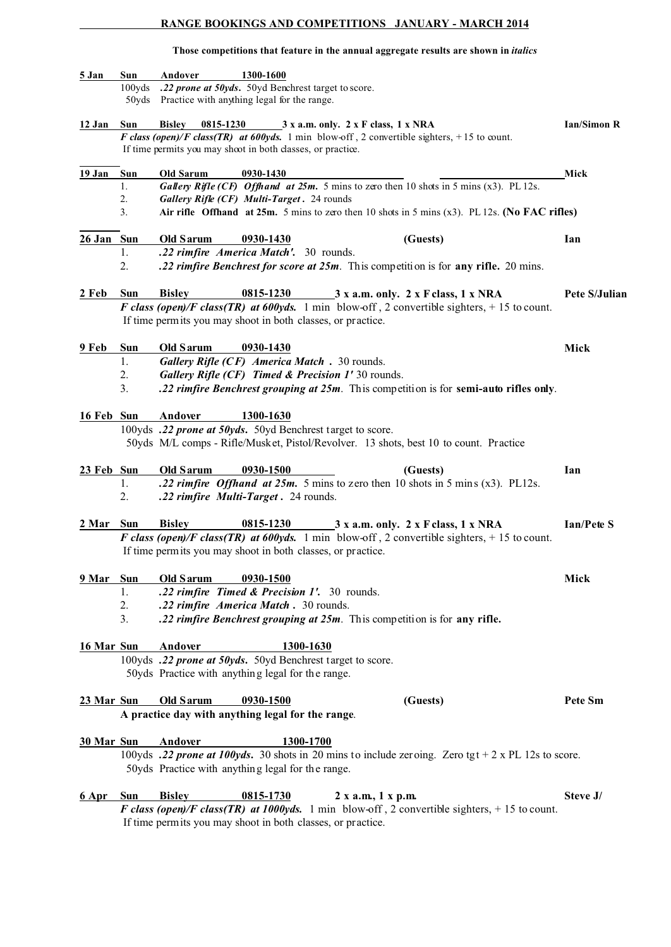### **RANGE BOOKINGS AND COMPETITIONS JANUARY - MARCH 2014**

#### **Those competitions that feature in the annual aggregate results are shown in** *italics*

| 5 Jan        | Sun<br>100yds         | Andover<br>1300-1600<br>.22 prone at 50yds. 50yd Benchrest target to score.<br>50yds Practice with anything legal for the range.                                                                                                                                           |                    |
|--------------|-----------------------|----------------------------------------------------------------------------------------------------------------------------------------------------------------------------------------------------------------------------------------------------------------------------|--------------------|
| 12 Jan       | Sun                   | <b>Bisley</b><br>0815-1230 3 x a.m. only. 2 x F class, 1 x NRA<br>F class (open)/F class(TR) at 600yds. 1 min blow-off, 2 convertible sighters, +15 to count.<br>If time permits you may shoot in both classes, or practice.                                               | <b>Ian/Simon R</b> |
| 19 Jan       | Sun<br>1.<br>2.<br>3. | Old Sarum<br>0930-1430<br>Gallery Rifle (CF) Offhand at $25m$ . 5 mins to zero then 10 shots in 5 mins (x3). PL 12s.<br>Gallery Rifle (CF) Multi-Target. 24 rounds<br>Air rifle Offhand at $25m$ . 5 mins to zero then 10 shots in 5 mins $(x3)$ . PL 12s. (No FAC rifles) | Mick               |
|              |                       |                                                                                                                                                                                                                                                                            |                    |
| $26$ Jan Sun |                       | Old Sarum<br>0930-1430<br>(Guests)                                                                                                                                                                                                                                         | Ian                |
|              | 1.<br>2.              | .22 rimfire America Match'. 30 rounds.<br>.22 rimfire Benchrest for score at 25m. This competition is for any rifle. 20 mins.                                                                                                                                              |                    |
| 2 Feb        | Sun                   | 0815-1230 3 x a.m. only. 2 x F class, 1 x NRA<br><b>Bisley</b><br>F class (open)/F class(TR) at 600yds. 1 min blow-off, 2 convertible sighters, +15 to count.<br>If time permits you may shoot in both classes, or practice.                                               | Pete S/Julian      |
| 9 Feb        | Sun<br>1.<br>2.<br>3. | Old Sarum<br>0930-1430<br>Gallery Rifle (CF) America Match . 30 rounds.<br>Gallery Rifle (CF) Timed & Precision 1'30 rounds.<br>.22 rimfire Benchrest grouping at 25m. This competition is for semi-auto rifles only.                                                      | Mick               |
| 16 Feb Sun   |                       | Andover<br>1300-1630<br>100yds .22 prone at 50yds. 50yd Benchrest target to score.<br>50yds M/L comps - Rifle/Musket, Pistol/Revolver. 13 shots, best 10 to count. Practice                                                                                                |                    |
| 23 Feb Sun   | 1.<br>2.              | Old Sarum<br>0930-1500<br>(Guests)<br>.22 rimfire Offhand at 25m. 5 mins to zero then 10 shots in 5 mins $(x3)$ . PL12s.<br>.22 rimfire Multi-Target. 24 rounds.                                                                                                           | Ian                |
| 2 Mar        | Sun                   | <b>Bisley</b><br>0815-1230<br>$3x$ a.m. only. 2 x F class, 1 x NRA<br>F class (open)/F class(TR) at 600yds. 1 min blow-off, 2 convertible sighters, +15 to count.<br>If time permits you may shoot in both classes, or practice.                                           | <b>Ian/Pete S</b>  |
| 9 Mar Sun    | 1.<br>2.<br>3.        | Old Sarum<br>0930-1500<br>.22 rimfire Timed & Precision 1'. 30 rounds.<br>.22 rimfire America Match . 30 rounds.<br>.22 rimfire Benchrest grouping at 25m. This competition is for any rifle.                                                                              | Mick               |
| 16 Mar Sun   |                       | 1300-1630<br>Andover<br>100yds .22 prone at 50yds. 50yd Benchrest target to score.<br>50yds Practice with anything legal for the range.                                                                                                                                    |                    |
| 23 Mar Sun   |                       | Old Sarum<br>0930-1500<br>(Guests)                                                                                                                                                                                                                                         | Pete Sm            |
|              |                       | A practice day with anything legal for the range.                                                                                                                                                                                                                          |                    |
| 30 Mar Sun   |                       | Andover<br>1300-1700<br>100yds .22 prone at 100yds. 30 shots in 20 mins to include zeroing. Zero tgt + 2 x PL 12s to score.<br>50yds Practice with anything legal for the range.                                                                                           |                    |
| 6 Apr Sun    |                       | 0815-1730<br>2 x a.m., 1 x p.m.<br><b>Bisley</b><br>F class (open)/F class(TR) at 1000yds. 1 min blow-off, 2 convertible sighters, + 15 to count.<br>If time permits you may shoot in both classes, or practice.                                                           | Steve J/           |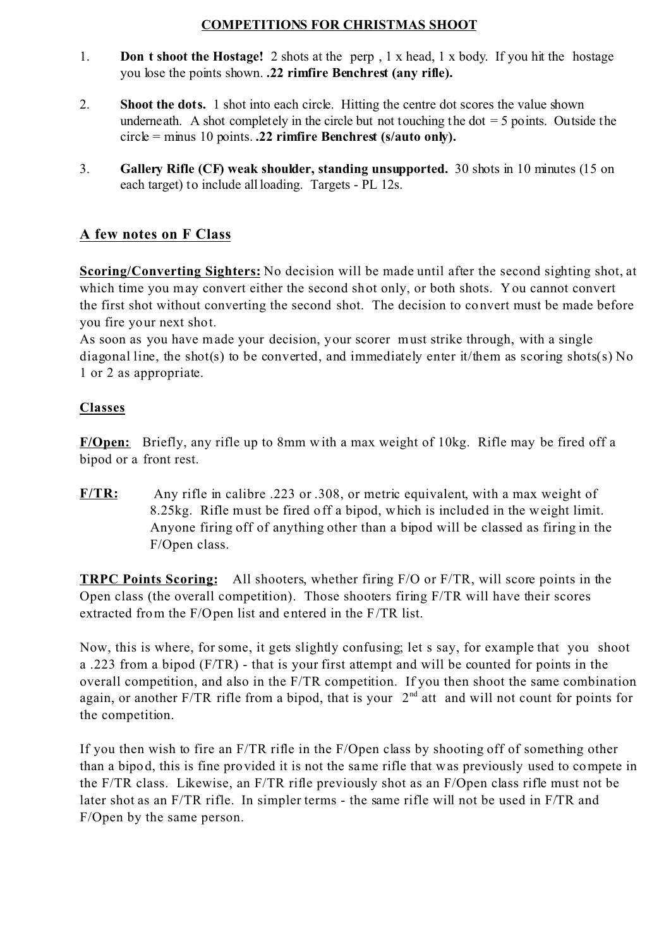### **COMPETITIONS FOR CHRISTMAS SHOOT**

- 1. **Don t shoot the Hostage!** 2 shots at the perp , 1 x head, 1 x body. If you hit the hostage you lose the points shown. **.22 rimfire Benchrest (any rifle).**
- 2. **Shoot the dots.** 1 shot into each circle. Hitting the centre dot scores the value shown underneath. A shot completely in the circle but not touching the dot  $=$  5 points. Outside the circle = minus 10 points. **.22 rimfire Benchrest (s/auto only).**
- 3. **Gallery Rifle (CF) weak shoulder, standing unsupported.** 30 shots in 10 minutes (15 on each target) to include all loading. Targets - PL 12s.

# **A few notes on F Class**

**Scoring/Converting Sighters:** No decision will be made until after the second sighting shot, at which time you may convert either the second shot only, or both shots. You cannot convert the first shot without converting the second shot. The decision to convert must be made before you fire your next shot.

As soon as you have made your decision, your scorer must strike through, with a single diagonal line, the shot(s) to be converted, and immediately enter it/them as scoring shots(s) No 1 or 2 as appropriate.

### **Classes**

**F/Open:** Briefly, any rifle up to 8mm with a max weight of 10kg. Rifle may be fired off a bipod or a front rest.

**F/TR:** Any rifle in calibre .223 or .308, or metric equivalent, with a max weight of 8.25kg. Rifle must be fired off a bipod, which is included in the weight limit. Anyone firing off of anything other than a bipod will be classed as firing in the F/Open class.

**TRPC Points Scoring:** All shooters, whether firing F/O or F/TR, will score points in the Open class (the overall competition). Those shooters firing F/TR will have their scores extracted from the F/Open list and entered in the F/TR list.

Now, this is where, for some, it gets slightly confusing; let s say, for example that you shoot a .223 from a bipod (F/TR) - that is your first attempt and will be counted for points in the overall competition, and also in the F/TR competition. If you then shoot the same combination again, or another  $F/TR$  rifle from a bipod, that is your  $2<sup>nd</sup>$  att and will not count for points for the competition.

If you then wish to fire an F/TR rifle in the F/Open class by shooting off of something other than a bipod, this is fine provided it is not the same rifle that was previously used to compete in the F/TR class. Likewise, an F/TR rifle previously shot as an F/Open class rifle must not be later shot as an F/TR rifle. In simpler terms - the same rifle will not be used in F/TR and F/Open by the same person.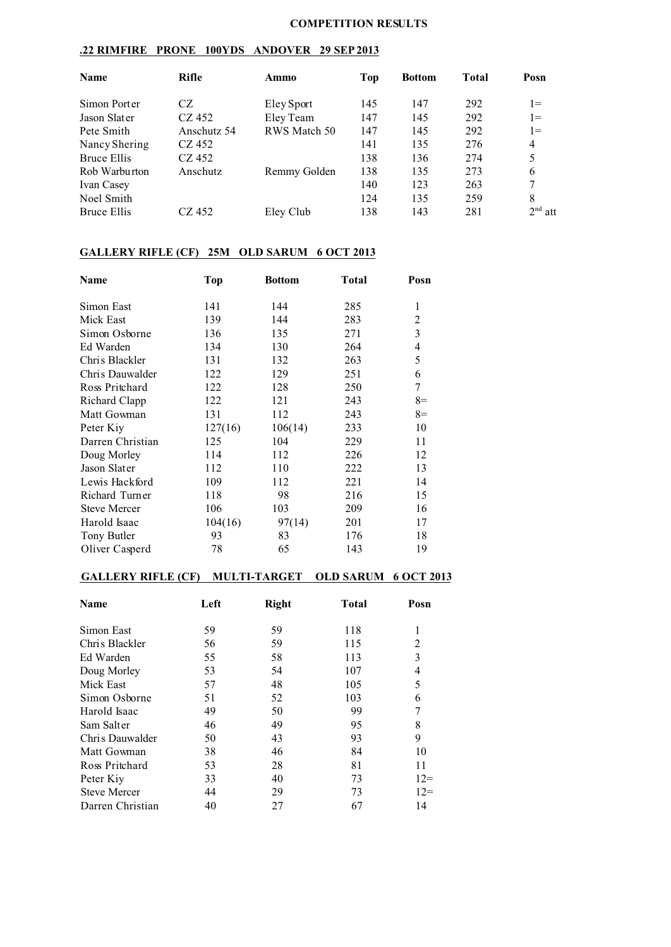#### **COMPETITION RESULTS**

### **.22 RIMFIRE PRONE 100YDS ANDOVER 29 SEP 2013**

| <b>Name</b>   | Rifle       | Ammo         | Top | <b>Bottom</b> | <b>Total</b> | Posn           |
|---------------|-------------|--------------|-----|---------------|--------------|----------------|
| Simon Porter  | CZ          | Eley Sport   | 145 | 147           | 292          | $1 =$          |
| Jason Slater  | CZ 452      | Eley Team    | 147 | 145           | 292          | $1 =$          |
| Pete Smith    | Anschutz 54 | RWS Match 50 | 147 | 145           | 292          | $1 =$          |
| Nancy Shering | CZ 452      |              | 141 | 135           | 276          | $\overline{4}$ |
| Bruce Ellis   | CZ 452      |              | 138 | 136           | 274          | 5              |
| Rob Warburton | Anschutz    | Remmy Golden | 138 | 135           | 273          | 6              |
| Ivan Casey    |             |              | 140 | 123           | 263          | 7              |
| Noel Smith    |             |              | 124 | 135           | 259          | 8              |
| Bruce Ellis   | CZ 452      | Eley Club    | 138 | 143           | 281          | $2nd$ att      |

# **GALLERY RIFLE (CF) 25M OLD SARUM 6 OCT 2013**

| Name                | <b>Top</b> | <b>Bottom</b> | <b>Total</b> | Posn       |
|---------------------|------------|---------------|--------------|------------|
| Simon East          | 141        | 144           | 285          | 1          |
| Mick East           | 139        | 144           | 283          | 2          |
| Simon Osborne       | 136        | 135           | 271          | 3          |
| Ed Warden           | 134        | 130           | 264          | 4          |
| Chris Blackler      | 131        | 132           | 263          | 5          |
| Chris Dauwalder     | 122        | 129           | 251          | 6          |
| Ross Pritchard      | 122        | 128           | 250          | $\sqrt{ }$ |
| Richard Clapp       | 122        | 121           | 243          | $8=$       |
| Matt Gowman         | 131        | 112           | 243          | $8=$       |
| Peter Kiy           | 127(16)    | 106(14)       | 233          | 10         |
| Darren Christian    | 125        | 104           | 229          | 11         |
| Doug Morley         | 114        | 112           | 226          | 12         |
| Jason Slater        | 112        | 110           | 222          | 13         |
| Lewis Hackford      | 109        | 112           | 221          | 14         |
| Richard Turner      | 118        | 98            | 216          | 15         |
| <b>Steve Mercer</b> | 106        | 103           | 209          | 16         |
| Harold Isaac        | 104(16)    | 97(14)        | 201          | 17         |
| Tony Butler         | 93         | 83            | 176          | 18         |
| Oliver Casperd      | 78         | 65            | 143          | 19         |

#### **GALLERY RIFLE (CF) MULTI-TARGET OLD SARUM 6 OCT 2013**

| <b>Name</b>         | Left | <b>Right</b> | <b>Total</b> | Posn           |
|---------------------|------|--------------|--------------|----------------|
| Simon East          | 59   | 59           | 118          | 1              |
| Chris Blackler      | 56   | 59           | 115          | $\overline{c}$ |
| Ed Warden           | 55   | 58           | 113          | 3              |
| Doug Morley         | 53   | 54           | 107          | 4              |
| Mick East           | 57   | 48           | 105          | 5              |
| Simon Osborne       | 51   | 52           | 103          | 6              |
| Harold Isaac        | 49   | 50           | 99           | 7              |
| Sam Salter          | 46   | 49           | 95           | 8              |
| Chris Dauwalder     | 50   | 43           | 93           | 9              |
| Matt Gowman         | 38   | 46           | 84           | 10             |
| Ross Pritchard      | 53   | 28           | 81           | 11             |
| Peter Kiy           | 33   | 40           | 73           | $12=$          |
| <b>Steve Mercer</b> | 44   | 29           | 73           | $12=$          |
| Darren Christian    | 40   | 27           | 67           | 14             |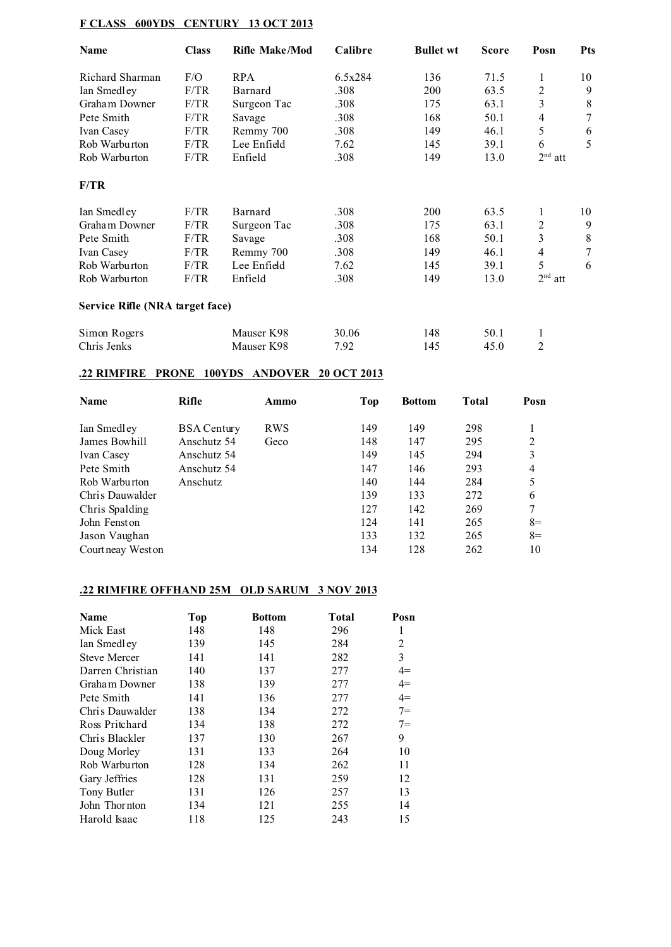### **F CLASS 600YDS CENTURY 13 OCT 2013**

| Name                            | <b>Class</b> | <b>Rifle Make/Mod</b> | Calibre | <b>Bullet wt</b> | <b>Score</b> | Posn           | <b>Pts</b> |
|---------------------------------|--------------|-----------------------|---------|------------------|--------------|----------------|------------|
| Richard Sharman                 | F/O          | <b>RPA</b>            | 6.5x284 | 136              | 71.5         | 1              | 10         |
| Ian Smedley                     | F/TR         | Barnard               | .308    | 200              | 63.5         | 2              | 9          |
| Graham Downer                   | F/TR         | Surgeon Tac           | .308    | 175              | 63.1         | 3              | 8          |
| Pete Smith                      | F/TR         | Savage                | .308    | 168              | 50.1         | 4              | $\tau$     |
| Ivan Casey                      | F/TR         | Remmy 700             | .308    | 149              | 46.1         | 5              | 6          |
| Rob Warburton                   | F/TR         | Lee Enfield           | 7.62    | 145              | 39.1         | 6              | 5          |
| Rob Warburton                   | F/TR         | Enfield               | .308    | 149              | 13.0         | $2nd$ att      |            |
| F/TR                            |              |                       |         |                  |              |                |            |
| Ian Smedley                     | F/TR         | Barnard               | .308    | 200              | 63.5         | 1              | 10         |
| Graham Downer                   | F/TR         | Surgeon Tac           | .308    | 175              | 63.1         | $\overline{2}$ | 9          |
| Pete Smith                      | F/TR         | Savage                | .308    | 168              | 50.1         | $\overline{3}$ | 8          |
| Ivan Casey                      | F/TR         | Remmy 700             | .308    | 149              | 46.1         | 4              | 7          |
| Rob Warburton                   | F/TR         | Lee Enfield           | 7.62    | 145              | 39.1         | 5              | 6          |
| Rob Warburton                   | F/TR         | Enfield               | .308    | 149              | 13.0         | $2nd$ att      |            |
| Service Rifle (NRA target face) |              |                       |         |                  |              |                |            |
| Simon Rogers                    |              | Mauser K98            | 30.06   | 148              | 50.1         | 1              |            |
| Chris Jenks                     |              | Mauser K98            | 7.92    | 145              | 45.0         | 2              |            |

### **.22 RIMFIRE PRONE 100YDS ANDOVER 20 OCT 2013**

| Name              | Rifle              | Ammo       | Top | <b>Bottom</b> | <b>Total</b> | Posn |
|-------------------|--------------------|------------|-----|---------------|--------------|------|
| Ian Smedley       | <b>BSA</b> Century | <b>RWS</b> | 149 | 149           | 298          |      |
| James Bowhill     | Anschutz 54        | Geco       | 148 | 147           | 295          | 2    |
| Ivan Casey        | Anschutz 54        |            | 149 | 145           | 294          | 3    |
| Pete Smith        | Anschutz 54        |            | 147 | 146           | 293          | 4    |
| Rob Warburton     | Anschutz           |            | 140 | 144           | 284          | 5    |
| Chris Dauwalder   |                    |            | 139 | 133           | 272          | 6    |
| Chris Spalding    |                    |            | 127 | 142           | 269          | 7    |
| John Fenston      |                    |            | 124 | 141           | 265          | $8=$ |
| Jason Vaughan     |                    |            | 133 | 132           | 265          | $8=$ |
| Courtneay West on |                    |            | 134 | 128           | 262          | 10   |

# **.22 RIMFIRE OFFHAND 25M OLD SARUM 3 NOV 2013**

| Name                | Top | <b>Bottom</b> | Total | Posn  |
|---------------------|-----|---------------|-------|-------|
| Mick East           | 148 | 148           | 296   | 1     |
| Ian Smedley         | 139 | 145           | 284   | 2     |
| <b>Steve Mercer</b> | 141 | 141           | 282   | 3     |
| Darren Christian    | 140 | 137           | 277   | $4=$  |
| Graham Downer       | 138 | 139           | 277   | $4=$  |
| Pete Smith          | 141 | 136           | 277   | $4=$  |
| Chris Dauwalder     | 138 | 134           | 272   | $7 =$ |
| Ross Pritchard      | 134 | 138           | 272   | $7 =$ |
| Chris Blackler      | 137 | 130           | 267   | 9     |
| Doug Morley         | 131 | 133           | 264   | 10    |
| Rob Warburton       | 128 | 134           | 262   | 11    |
| Gary Jeffries       | 128 | 131           | 259   | 12    |
| Tony Butler         | 131 | 126           | 257   | 13    |
| John Thornton       | 134 | 121           | 255   | 14    |
| Harold Isaac        | 118 | 125           | 243   | 15    |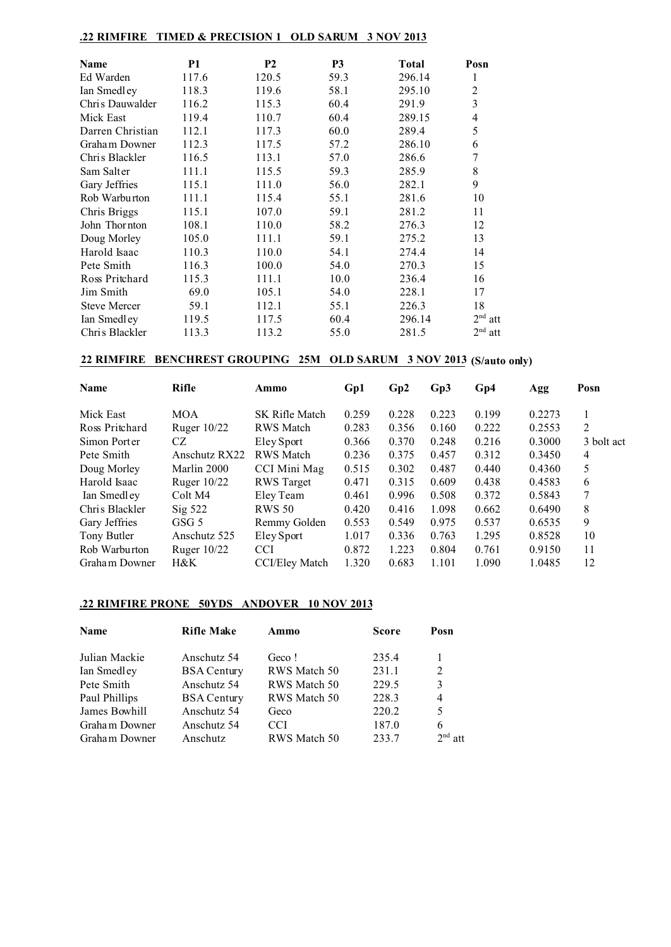| .22 RIMFIRE         | <b>TIMED &amp; PRECISION 1</b> |                | <b>OLD SARUM</b> | 3 NOV 2013 |                         |
|---------------------|--------------------------------|----------------|------------------|------------|-------------------------|
|                     |                                |                |                  |            |                         |
| Name                | <b>P1</b>                      | P <sub>2</sub> | P <sub>3</sub>   | Total      | Posn                    |
| Ed Warden           | 117.6                          | 120.5          | 59.3             | 296.14     | 1                       |
| Ian Smedley         | 118.3                          | 119.6          | 58.1             | 295.10     | $\overline{c}$          |
| Chris Dauwalder     | 116.2                          | 115.3          | 60.4             | 291.9      | $\overline{\mathbf{3}}$ |
| Mick East           | 119.4                          | 110.7          | 60.4             | 289.15     | 4                       |
| Darren Christian    | 112.1                          | 117.3          | 60.0             | 289.4      | 5                       |
| Graham Downer       | 112.3                          | 117.5          | 57.2             | 286.10     | 6                       |
| Chris Blackler      | 116.5                          | 113.1          | 57.0             | 286.6      | $\overline{7}$          |
| Sam Salter          | 111.1                          | 115.5          | 59.3             | 285.9      | $\,$ 8 $\,$             |
| Gary Jeffries       | 115.1                          | 111.0          | 56.0             | 282.1      | 9                       |
| Rob Warburton       | 111.1                          | 115.4          | 55.1             | 281.6      | 10                      |
| Chris Briggs        | 115.1                          | 107.0          | 59.1             | 281.2      | 11                      |
| John Thornton       | 108.1                          | 110.0          | 58.2             | 276.3      | 12                      |
| Doug Morley         | 105.0                          | 111.1          | 59.1             | 275.2      | 13                      |
| Harold Isaac        | 110.3                          | 110.0          | 54.1             | 274.4      | 14                      |
| Pete Smith          | 116.3                          | 100.0          | 54.0             | 270.3      | 15                      |
| Ross Pritchard      | 115.3                          | 111.1          | 10.0             | 236.4      | 16                      |
| Jim Smith           | 69.0                           | 105.1          | 54.0             | 228.1      | 17                      |
| <b>Steve Mercer</b> | 59.1                           | 112.1          | 55.1             | 226.3      | 18                      |
| Ian Smedley         | 119.5                          | 117.5          | 60.4             | 296.14     | 2 <sup>nd</sup><br>att  |
| Chris Blackler      | 113.3                          | 113.2          | 55.0             | 281.5      | 2 <sup>nd</sup><br>att  |

# **22 RIMFIRE BENCHREST GROUPING 25M OLD SARUM 3 NOV 2013 (S/auto only)**

| <b>Name</b>    | <b>Rifle</b>       | Ammo                  | Gp1   | Gp2   | Gp3   | Gp4   | Agg    | Posn       |
|----------------|--------------------|-----------------------|-------|-------|-------|-------|--------|------------|
| Mick East      | <b>MOA</b>         | SK Rifle Match        | 0.259 | 0.228 | 0.223 | 0.199 | 0.2273 |            |
| Ross Pritchard | Ruger $10/22$      | <b>RWS</b> Match      | 0.283 | 0.356 | 0.160 | 0.222 | 0.2553 | 2          |
| Simon Porter   | CZ                 | Eley Sport            | 0.366 | 0.370 | 0.248 | 0.216 | 0.3000 | 3 bolt act |
| Pete Smith     | Anschutz RX22      | <b>RWS</b> Match      | 0.236 | 0.375 | 0.457 | 0.312 | 0.3450 | 4          |
| Doug Morley    | Marlin 2000        | CCI Mini Mag          | 0.515 | 0.302 | 0.487 | 0.440 | 0.4360 | 5          |
| Harold Isaac   | Ruger 10/22        | <b>RWS</b> Target     | 0.471 | 0.315 | 0.609 | 0.438 | 0.4583 | 6          |
| Ian Smedley    | Colt M4            | Eley Team             | 0.461 | 0.996 | 0.508 | 0.372 | 0.5843 | 7          |
| Chris Blackler | $\mathrm{Sig}$ 522 | <b>RWS 50</b>         | 0.420 | 0.416 | 1.098 | 0.662 | 0.6490 | 8          |
| Gary Jeffries  | GSG 5              | Remmy Golden          | 0.553 | 0.549 | 0.975 | 0.537 | 0.6535 | 9          |
| Tony Butler    | Anschutz 525       | Eley Sport            | 1.017 | 0.336 | 0.763 | 1.295 | 0.8528 | 10         |
| Rob Warburton  | Ruger 10/22        | CCI                   | 0.872 | 1.223 | 0.804 | 0.761 | 0.9150 | 11         |
| Graham Downer  | $H\&K$             | <b>CCI/Eley Match</b> | 1.320 | 0.683 | 1.101 | 1.090 | 1.0485 | 12         |

### **.22 RIMFIRE PRONE 50YDS ANDOVER 10 NOV 2013**

| <b>Name</b>   | <b>Rifle Make</b>  | Ammo         | <b>Score</b> | Posn      |
|---------------|--------------------|--------------|--------------|-----------|
| Julian Mackie | Anschutz 54        | Geco!        | 235.4        |           |
| Ian Smedley   | <b>BSA Century</b> | RWS Match 50 | 231.1        | 2         |
| Pete Smith    | Anschutz 54        | RWS Match 50 | 229.5        | 3         |
| Paul Phillips | <b>BSA Century</b> | RWS Match 50 | 228.3        | 4         |
| James Bowhill | Anschutz 54        | Geco         | 220.2        | 5         |
| Graham Downer | Anschutz 54        | <b>CCI</b>   | 187.0        | 6         |
| Graham Downer | Anschutz           | RWS Match 50 | 233.7        | $2nd$ att |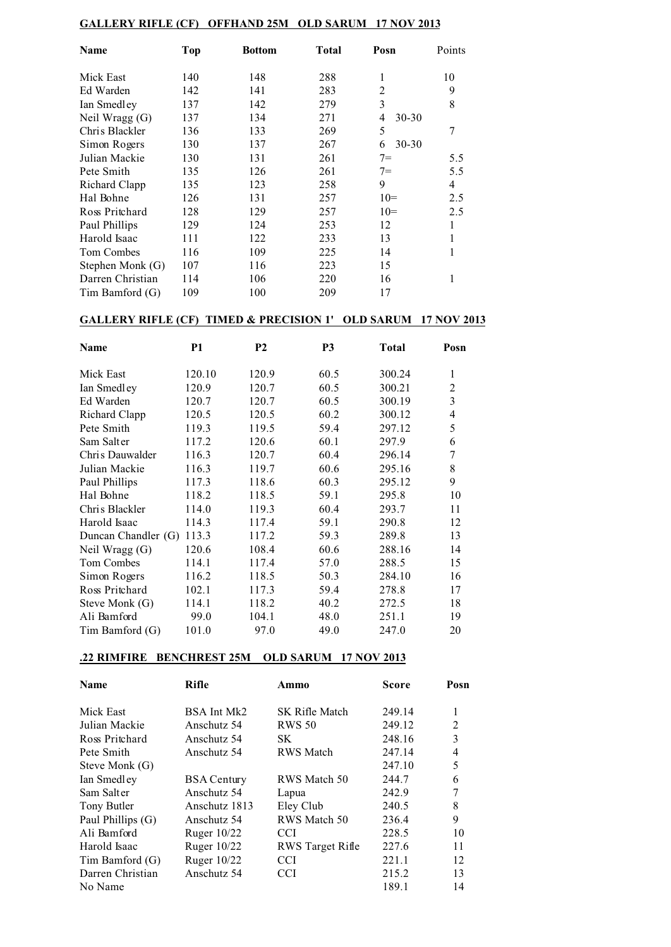#### **GALLERY RIFLE (CF) OFFHAND 25M OLD SARUM 17 NOV 2013**

| Name              | Top | <b>Bottom</b> | <b>Total</b> | Posn           | Points         |
|-------------------|-----|---------------|--------------|----------------|----------------|
| Mick East         | 140 | 148           | 288          | 1              | 10             |
| Ed Warden         | 142 | 141           | 283          | 2              | 9              |
| Ian Smedley       | 137 | 142           | 279          | 3              | 8              |
| Neil Wragg (G)    | 137 | 134           | 271          | 4<br>$30 - 30$ |                |
| Chris Blackler    | 136 | 133           | 269          | 5              | 7              |
| Simon Rogers      | 130 | 137           | 267          | $30 - 30$<br>6 |                |
| Julian Mackie     | 130 | 131           | 261          | $7 =$          | 5.5            |
| Pete Smith        | 135 | 126           | 261          | $7 =$          | 5.5            |
| Richard Clapp     | 135 | 123           | 258          | 9              | $\overline{4}$ |
| Hal Bohne         | 126 | 131           | 257          | $10=$          | 2.5            |
| Ross Pritchard    | 128 | 129           | 257          | $10=$          | 2.5            |
| Paul Phillips     | 129 | 124           | 253          | 12             |                |
| Harold Isaac      | 111 | 122           | 233          | 13             |                |
| <b>Tom Combes</b> | 116 | 109           | 225          | 14             |                |
| Stephen Monk (G)  | 107 | 116           | 223          | 15             |                |
| Darren Christian  | 114 | 106           | 220          | 16             |                |
| Tim Bamford (G)   | 109 | 100           | 209          | 17             |                |

#### **GALLERY RIFLE (CF) TIMED & PRECISION 1' OLD SARUM 17 NOV 2013**

| Name                | P <sub>1</sub> | P <sub>2</sub> | P <sub>3</sub> | <b>Total</b> | Posn           |
|---------------------|----------------|----------------|----------------|--------------|----------------|
| Mick East           | 120.10         | 120.9          | 60.5           | 300.24       | 1              |
| Ian Smedley         | 120.9          | 120.7          | 60.5           | 300.21       | 2              |
| Ed Warden           | 120.7          | 120.7          | 60.5           | 300.19       | 3              |
| Richard Clapp       | 120.5          | 120.5          | 60.2           | 300.12       | $\overline{4}$ |
| Pete Smith          | 119.3          | 119.5          | 59.4           | 297.12       | 5              |
| Sam Salter          | 117.2          | 120.6          | 60.1           | 297.9        | 6              |
| Chris Dauwalder     | 116.3          | 120.7          | 60.4           | 296.14       | 7              |
| Julian Mackie       | 116.3          | 119.7          | 60.6           | 295.16       | 8              |
| Paul Phillips       | 117.3          | 118.6          | 60.3           | 295.12       | 9              |
| Hal Bohne           | 118.2          | 118.5          | 59.1           | 295.8        | 10             |
| Chris Blackler      | 114.0          | 119.3          | 60.4           | 293.7        | 11             |
| Harold Isaac        | 114.3          | 117.4          | 59.1           | 290.8        | 12             |
| Duncan Chandler (G) | 113.3          | 117.2          | 59.3           | 289.8        | 13             |
| Neil Wragg (G)      | 120.6          | 108.4          | 60.6           | 288.16       | 14             |
| Tom Combes          | 114.1          | 117.4          | 57.0           | 288.5        | 15             |
| Simon Rogers        | 116.2          | 118.5          | 50.3           | 284.10       | 16             |
| Ross Pritchard      | 102.1          | 117.3          | 59.4           | 278.8        | 17             |
| Steve Monk (G)      | 114.1          | 118.2          | 40.2           | 272.5        | 18             |
| Ali Bamford         | 99.0           | 104.1          | 48.0           | 251.1        | 19             |
| Tim Bamford (G)     | 101.0          | 97.0           | 49.0           | 247.0        | 20             |

#### **.22 RIMFIRE BENCHREST 25M OLD SARUM 17 NOV 2013**

| <b>Name</b>       | <b>Rifle</b>       | Ammo             | <b>Score</b> | Posn |
|-------------------|--------------------|------------------|--------------|------|
| Mick East         | BSA Int Mk2        | SK Rifle Match   | 249.14       | 1    |
| Julian Mackie     | Anschutz 54        | <b>RWS 50</b>    | 249.12       | 2    |
| Ross Pritchard    | Anschutz 54        | SK               | 248.16       | 3    |
| Pete Smith        | Anschutz 54        | <b>RWS</b> Match | 247.14       | 4    |
| Steve Monk (G)    |                    |                  | 247.10       | 5    |
| Ian Smedley       | <b>BSA Century</b> | RWS Match 50     | 244.7        | 6    |
| Sam Salter        | Anschutz 54        | Lapua            | 242.9        | 7    |
| Tony Butler       | Anschutz 1813      | Eley Club        | 240.5        | 8    |
| Paul Phillips (G) | Anschutz 54        | RWS Match 50     | 236.4        | 9    |
| Ali Bamford       | Ruger 10/22        | <b>CCI</b>       | 228.5        | 10   |
| Harold Isaac      | Ruger 10/22        | RWS Target Rifle | 227.6        | 11   |
| Tim Bamford (G)   | Ruger $10/22$      | <b>CCI</b>       | 221.1        | 12   |
| Darren Christian  | Anschutz 54        | <b>CCI</b>       | 215.2        | 13   |
| No Name           |                    |                  | 189.1        | 14   |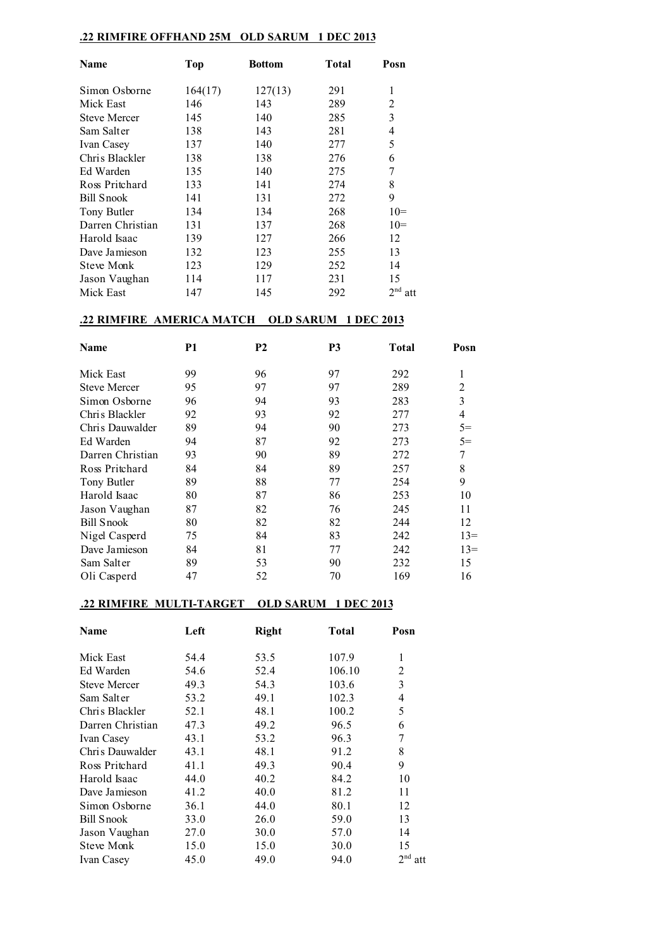#### **.22 RIMFIRE OFFHAND 25M OLD SARUM 1 DEC 2013**

| <b>Name</b>         | <b>Top</b> | <b>Bottom</b> | Total | Posn                   |
|---------------------|------------|---------------|-------|------------------------|
| Simon Osborne       | 164(17)    | 127(13)       | 291   | 1                      |
| Mick East           | 146        | 143           | 289   | 2                      |
| <b>Steve Mercer</b> | 145        | 140           | 285   | 3                      |
| Sam Salter          | 138        | 143           | 281   | 4                      |
| Ivan Casey          | 137        | 140           | 277   | 5                      |
| Chris Blackler      | 138        | 138           | 276   | 6                      |
| Ed Warden           | 135        | 140           | 275   | 7                      |
| Ross Pritchard      | 133        | 141           | 274   | 8                      |
| Bill Snook          | 141        | 131           | 272   | 9                      |
| Tony Butler         | 134        | 134           | 268   | $10=$                  |
| Darren Christian    | 131        | 137           | 268   | $10=$                  |
| Harold Isaac        | 139        | 127           | 266   | 12                     |
| Dave Jamieson       | 132        | 123           | 255   | 13                     |
| <b>Steve Monk</b>   | 123        | 129           | 252   | 14                     |
| Jason Vaughan       | 114        | 117           | 231   | 15                     |
| Mick East           | 147        | 145           | 292   | 2 <sup>nd</sup><br>att |

#### **.22 RIMFIRE AMERICA MATCH OLD SARUM 1 DEC 2013**

| Name                | P1 | <b>P2</b> | P3 | <b>Total</b> | Posn  |
|---------------------|----|-----------|----|--------------|-------|
| Mick East           | 99 | 96        | 97 | 292          |       |
| <b>Steve Mercer</b> | 95 | 97        | 97 | 289          | 2     |
| Simon Osborne       | 96 | 94        | 93 | 283          | 3     |
| Chris Blackler      | 92 | 93        | 92 | 277          | 4     |
| Chris Dauwalder     | 89 | 94        | 90 | 273          | $5=$  |
| Ed Warden           | 94 | 87        | 92 | 273          | $5=$  |
| Darren Christian    | 93 | 90        | 89 | 272          | 7     |
| Ross Pritchard      | 84 | 84        | 89 | 257          | 8     |
| Tony Butler         | 89 | 88        | 77 | 254          | 9     |
| Harold Isaac        | 80 | 87        | 86 | 253          | 10    |
| Jason Vaughan       | 87 | 82        | 76 | 245          | 11    |
| <b>Bill Snook</b>   | 80 | 82        | 82 | 244          | 12    |
| Nigel Casperd       | 75 | 84        | 83 | 242          | $13=$ |
| Dave Jamieson       | 84 | 81        | 77 | 242          | $13=$ |
| Sam Salter          | 89 | 53        | 90 | 232          | 15    |
| Oli Casperd         | 47 | 52        | 70 | 169          | 16    |

#### **.22 RIMFIRE MULTI-TARGET OLD SARUM 1 DEC 2013**

| Name                | Left | <b>Right</b> | Total  | Posn      |
|---------------------|------|--------------|--------|-----------|
| Mick East           | 54.4 | 53.5         | 107.9  | 1         |
| Ed Warden           | 54.6 | 52.4         | 106.10 | 2         |
| <b>Steve Mercer</b> | 49.3 | 54.3         | 103.6  | 3         |
| Sam Salter          | 53.2 | 49.1         | 102.3  | 4         |
| Chris Blackler      | 52.1 | 48.1         | 100.2  | 5         |
| Darren Christian    | 47.3 | 49.2         | 96.5   | 6         |
| Ivan Casey          | 43.1 | 53.2         | 96.3   | 7         |
| Chris Dauwalder     | 43.1 | 48.1         | 91.2   | 8         |
| Ross Pritchard      | 41.1 | 49.3         | 90.4   | 9         |
| Harold Isaac        | 44.0 | 40.2         | 84.2   | 10        |
| Dave Jamieson       | 41.2 | 40.0         | 81.2   | 11        |
| Simon Osborne       | 36.1 | 44.0         | 80.1   | 12        |
| Bill Snook          | 33.0 | 26.0         | 59.0   | 13        |
| Jason Vaughan       | 27.0 | 30.0         | 57.0   | 14        |
| Steve Monk          | 15.0 | 15.0         | 30.0   | 15        |
| Ivan Casey          | 45.0 | 49.0         | 94.0   | $2nd$ att |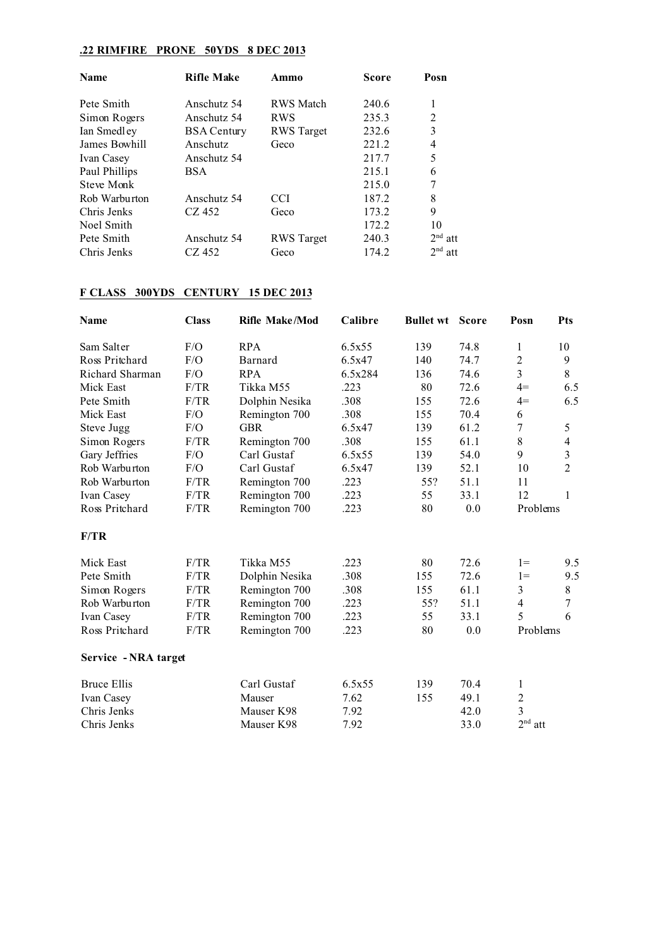### **.22 RIMFIRE PRONE 50YDS 8 DEC 2013**

| <b>Name</b>   | <b>Rifle Make</b>  | Ammo              | <b>Score</b> | Posn           |
|---------------|--------------------|-------------------|--------------|----------------|
| Pete Smith    | Anschutz 54        | <b>RWS</b> Match  | 240.6        | 1              |
| Simon Rogers  | Anschutz 54        | <b>RWS</b>        | 235.3        | $\overline{2}$ |
| Ian Smedley   | <b>BSA Century</b> | <b>RWS</b> Target | 232.6        | 3              |
| James Bowhill | Anschutz           | Geco              | 221.2        | 4              |
| Ivan Casey    | Anschutz 54        |                   | 217.7        | 5              |
| Paul Phillips | <b>BSA</b>         |                   | 215.1        | 6              |
| Steve Monk    |                    |                   | 215.0        | 7              |
| Rob Warburton | Anschutz 54        | CCI               | 187.2        | 8              |
| Chris Jenks   | CZ 452             | Geco              | 173.2        | 9              |
| Noel Smith    |                    |                   | 172.2        | 10             |
| Pete Smith    | Anschutz 54        | <b>RWS</b> Target | 240.3        | $2nd$ att      |
| Chris Jenks   | CZ 452             | Geco              | 174.2        | $2nd$ att      |

# **F CLASS 300YDS CENTURY 15 DEC 2013**

| <b>Name</b>          | <b>Class</b> | <b>Rifle Make/Mod</b> | Calibre | <b>Bullet wt</b> | <b>Score</b> | Posn           | <b>Pts</b>     |
|----------------------|--------------|-----------------------|---------|------------------|--------------|----------------|----------------|
| Sam Salter           | F/O          | <b>RPA</b>            | 6.5x55  | 139              | 74.8         | 1              | 10             |
| Ross Pritchard       | F/O          | Barnard               | 6.5x47  | 140              | 74.7         | $\overline{2}$ | 9              |
| Richard Sharman      | F/O          | <b>RPA</b>            | 6.5x284 | 136              | 74.6         | $\overline{3}$ | 8              |
| Mick East            | F/TR         | Tikka M55             | .223    | 80               | 72.6         | $4=$           | 6.5            |
| Pete Smith           | F/TR         | Dolphin Nesika        | .308    | 155              | 72.6         | $4=$           | 6.5            |
| Mick East            | F/O          | Remington 700         | .308    | 155              | 70.4         | 6              |                |
| Steve Jugg           | F/O          | <b>GBR</b>            | 6.5x47  | 139              | 61.2         | $\overline{7}$ | 5              |
| Simon Rogers         | F/TR         | Remington 700         | .308    | 155              | 61.1         | 8              | $\overline{4}$ |
| Gary Jeffries        | F/O          | Carl Gustaf           | 6.5x55  | 139              | 54.0         | 9              | $\mathfrak{Z}$ |
| Rob Warburton        | F/O          | Carl Gustaf           | 6.5x47  | 139              | 52.1         | 10             | $\overline{2}$ |
| Rob Warburton        | F/TR         | Remington 700         | .223    | 55?              | 51.1         | 11             |                |
| Ivan Casey           | F/TR         | Remington 700         | .223    | 55               | 33.1         | 12             | 1              |
| Ross Pritchard       | F/TR         | Remington 700         | .223    | 80               | 0.0          | Problems       |                |
| F/TR                 |              |                       |         |                  |              |                |                |
| Mick East            | F/TR         | Tikka M55             | .223    | 80               | 72.6         | $1 =$          | 9.5            |
| Pete Smith           | F/TR         | Dolphin Nesika        | .308    | 155              | 72.6         | $1 =$          | 9.5            |
| Simon Rogers         | F/TR         | Remington 700         | .308    | 155              | 61.1         | 3              | 8              |
| Rob Warburton        | F/TR         | Remington 700         | .223    | 55?              | 51.1         | 4              | 7              |
| Ivan Casey           | F/TR         | Remington 700         | .223    | 55               | 33.1         | 5              | 6              |
| Ross Pritchard       | F/TR         | Remington 700         | .223    | 80               | 0.0          | Problems       |                |
| Service - NRA target |              |                       |         |                  |              |                |                |
| <b>Bruce Ellis</b>   |              | Carl Gustaf           | 6.5x55  | 139              | 70.4         | 1              |                |
| Ivan Casey           |              | Mauser                | 7.62    | 155              | 49.1         | $\overline{c}$ |                |
| Chris Jenks          |              | Mauser K98            | 7.92    |                  | 42.0         | 3              |                |
| Chris Jenks          |              | Mauser K98            | 7.92    |                  | 33.0         | $2nd$ att      |                |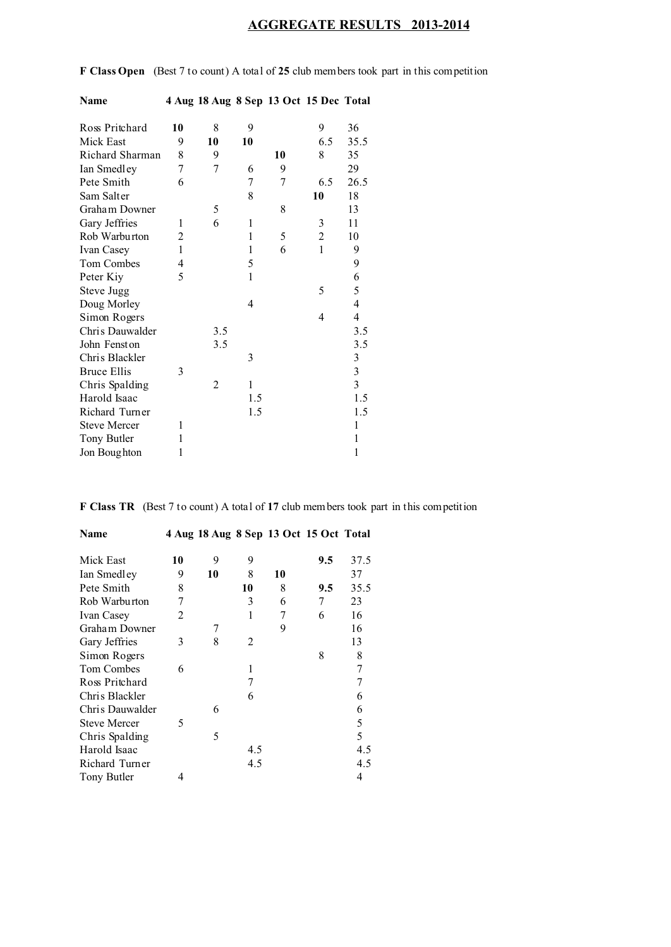# **AGGREGATE RESULTS 2013-2014**

**F Class Open** (Best 7 to count) A total of **25** club members took part in this competition

| Ross Pritchard      | 10           | 8   | 9            |    | 9              | 36                                    |
|---------------------|--------------|-----|--------------|----|----------------|---------------------------------------|
| Mick East           | 9            | 10  | 10           |    | 6.5            | 35.5                                  |
| Richard Sharman     | 8            | 9   |              | 10 | 8              | 35                                    |
| Ian Smedley         | 7            | 7   | 6            | 9  |                | 29                                    |
| Pete Smith          | 6            |     | 7            | 7  | 6.5            | 26.5                                  |
| Sam Salter          |              |     | 8            |    | 10             | 18                                    |
| Graham Downer       |              | 5   |              | 8  |                | 13                                    |
| Gary Jeffries       | 1            | 6   | $\mathbf{1}$ |    | 3              | 11                                    |
| Rob Warburton       | 2            |     | $\mathbf{1}$ | 5  | $\overline{c}$ | 10                                    |
| Ivan Casey          | $\mathbf{1}$ |     | $\mathbf{1}$ | 6  | 1              | 9                                     |
| Tom Combes          | 4            |     | 5            |    |                | 9                                     |
| Peter Kiy           | 5            |     | $\mathbf{1}$ |    |                |                                       |
| Steve Jugg          |              |     |              |    | 5              | $\begin{array}{c} 6 \\ 5 \end{array}$ |
| Doug Morley         |              |     | 4            |    |                | $\overline{4}$                        |
| Simon Rogers        |              |     |              |    | 4              | $\overline{\mathcal{L}}$              |
| Chris Dauwalder     |              | 3.5 |              |    |                | 3.5                                   |
| John Fenston        |              | 3.5 |              |    |                | 3.5                                   |
| Chris Blackler      |              |     | 3            |    |                | $\mathfrak{Z}$                        |
| <b>Bruce Ellis</b>  | 3            |     |              |    |                | $\frac{3}{3}$                         |
| Chris Spalding      |              | 2   | 1            |    |                |                                       |
| Harold Isaac        |              |     | 1.5          |    |                | 1.5                                   |
| Richard Turner      |              |     | 1.5          |    |                | 1.5                                   |
| <b>Steve Mercer</b> | 1            |     |              |    |                | 1                                     |
| Tony Butler         | 1            |     |              |    |                | 1                                     |
| Jon Boughton        | 1            |     |              |    |                | 1                                     |
|                     |              |     |              |    |                |                                       |

**Name 4 Aug 18 Aug 8 Sep 13 Oct 15 Dec Total**

**F Class TR** (Best 7 to count) A total of **17** club members took part in this competition

| Name                |    |    |     |    | 4 Aug 18 Aug 8 Sep 13 Oct 15 Oct Total |      |
|---------------------|----|----|-----|----|----------------------------------------|------|
| Mick East           | 10 | 9  | 9   |    | 9.5                                    | 37.5 |
| Ian Smedley         | 9  | 10 | 8   | 10 |                                        | 37   |
| Pete Smith          | 8  |    | 10  | 8  | 9.5                                    | 35.5 |
| Rob Warburton       | 7  |    | 3   | 6  | 7                                      | 23   |
| Ivan Casey          | 2  |    | 1   | 7  | 6                                      | 16   |
| Graham Downer       |    | 7  |     | 9  |                                        | 16   |
| Gary Jeffries       | 3  | 8  | 2   |    |                                        | 13   |
| Simon Rogers        |    |    |     |    | 8                                      | 8    |
| Tom Combes          | 6  |    | 1   |    |                                        | 7    |
| Ross Pritchard      |    |    | 7   |    |                                        | 7    |
| Chris Blackler      |    |    | 6   |    |                                        | 6    |
| Chris Dauwalder     |    | 6  |     |    |                                        | 6    |
| <b>Steve Mercer</b> | 5  |    |     |    |                                        | 5    |
| Chris Spalding      |    | 5  |     |    |                                        | 5    |
| Harold Isaac        |    |    | 4.5 |    |                                        | 4.5  |
| Richard Turner      |    |    | 4.5 |    |                                        | 4.5  |
| Tony Butler         | 4  |    |     |    |                                        | 4    |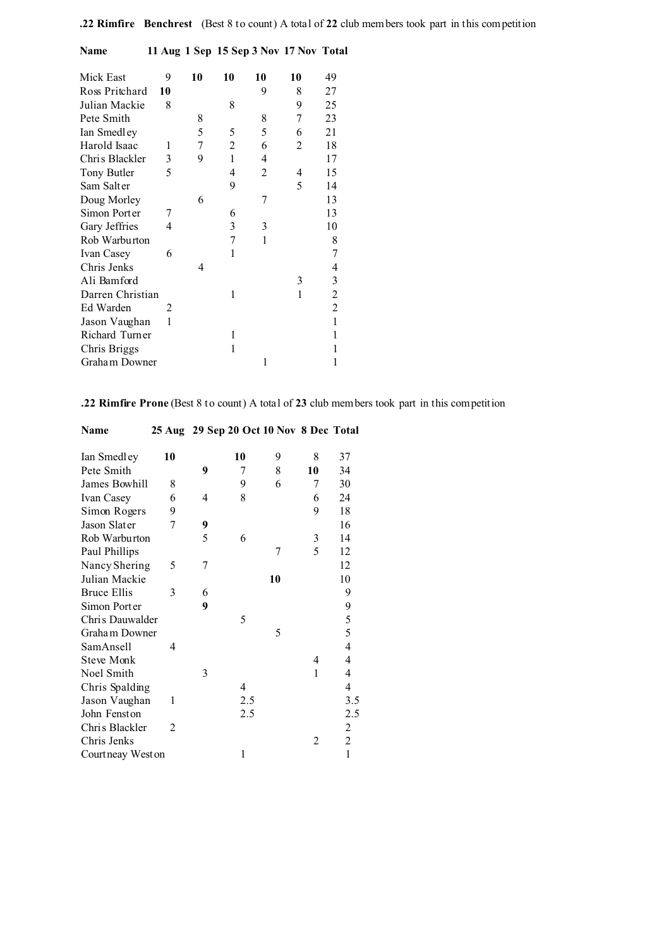| Mick East        | 9             | 10 | 10 | 10 | 10 | 49                       |
|------------------|---------------|----|----|----|----|--------------------------|
| Ross Pritchard   | 10            |    |    | 9  | 8  | 27                       |
| Julian Mackie    | 8             |    | 8  |    | 9  | 25                       |
| Pete Smith       |               | 8  |    | 8  | 7  | 23                       |
| Ian Smedley      |               | 5  | 5  | 5  | 6  | 21                       |
| Harold Isaac     | 1             | 7  | 2  | 6  | 2  | 18                       |
| Chris Blackler   | 3             | 9  | 1  | 4  |    | 17                       |
| Tony Butler      | 5             |    | 4  | 2  | 4  | 15                       |
| Sam Salter       |               |    | 9  |    | 5  | 14                       |
| Doug Morley      |               | 6  |    | 7  |    | 13                       |
| Simon Porter     | 7             |    | 6  |    |    | 13                       |
| Gary Jeffries    | 4             |    | 3  | 3  |    | 10                       |
| Rob Warburton    |               |    | 7  | 1  |    | 8                        |
| Ivan Casey       | 6             |    | 1  |    |    | $\overline{7}$           |
| Chris Jenks      |               | 4  |    |    |    | $\overline{\mathcal{L}}$ |
| Ali Bamford      |               |    |    |    | 3  | $\mathfrak{Z}$           |
| Darren Christian |               |    | 1  |    | 1  | $\overline{c}$           |
| Ed Warden        | $\mathcal{L}$ |    |    |    |    | $\overline{2}$           |
| Jason Vaughan    | 1             |    |    |    |    | $\mathbf{1}$             |
| Richard Turner   |               |    | 1  |    |    | $\mathbf{1}$             |
| Chris Briggs     |               |    | 1  |    |    | 1                        |
| Graham Downer    |               |    |    | 1  |    | 1                        |
|                  |               |    |    |    |    |                          |

**Name 11 Aug 1 Sep 15 Sep 3 Nov 17 Nov Total**

**.22 Rimfire Prone** (Best 8 to count) A total of **23** club members took part in this competition

| Name               |                |   | 25 Aug 29 Sep 20 Oct 10 Nov 8 Dec Total |    |    |                |
|--------------------|----------------|---|-----------------------------------------|----|----|----------------|
| Ian Smedley        | 10             |   | 10                                      | 9  | 8  | 37             |
| Pete Smith         |                | 9 | 7                                       | 8  | 10 | 34             |
| James Bowhill      | 8              |   | 9                                       | 6  | 7  | 30             |
| Ivan Casey         | 6              | 4 | 8                                       |    | 6  | 24             |
| Simon Rogers       | 9              |   |                                         |    | 9  | 18             |
| Jason Slater       | 7              | 9 |                                         |    |    | 16             |
| Rob Warburton      |                | 5 | 6                                       |    | 3  | 14             |
| Paul Phillips      |                |   |                                         | 7  | 5  | 12             |
| Nancy Shering      | 5              | 7 |                                         |    |    | 12             |
| Julian Mackie      |                |   |                                         | 10 |    | 10             |
| <b>Bruce Ellis</b> | 3              | 6 |                                         |    |    | 9              |
| Simon Porter       |                | 9 |                                         |    |    | 9              |
| Chris Dauwalder    |                |   | 5                                       |    |    | 5              |
| Graham Downer      |                |   |                                         | 5  |    | 5              |
| SamAnsell          | 4              |   |                                         |    |    | 4              |
| <b>Steve Monk</b>  |                |   |                                         |    | 4  | $\overline{4}$ |
| Noel Smith         |                | 3 |                                         |    | 1  | 4              |
| Chris Spalding     |                |   | 4                                       |    |    | 4              |
| Jason Vaughan      | 1              |   | 2.5                                     |    |    | 3.5            |
| John Fenston       |                |   | 2.5                                     |    |    | 2.5            |
| Chris Blackler     | $\mathfrak{D}$ |   |                                         |    |    | $\overline{c}$ |
| Chris Jenks        |                |   |                                         |    | 2  | $\overline{2}$ |
| Court neay West on |                |   | 1                                       |    |    | $\mathbf{1}$   |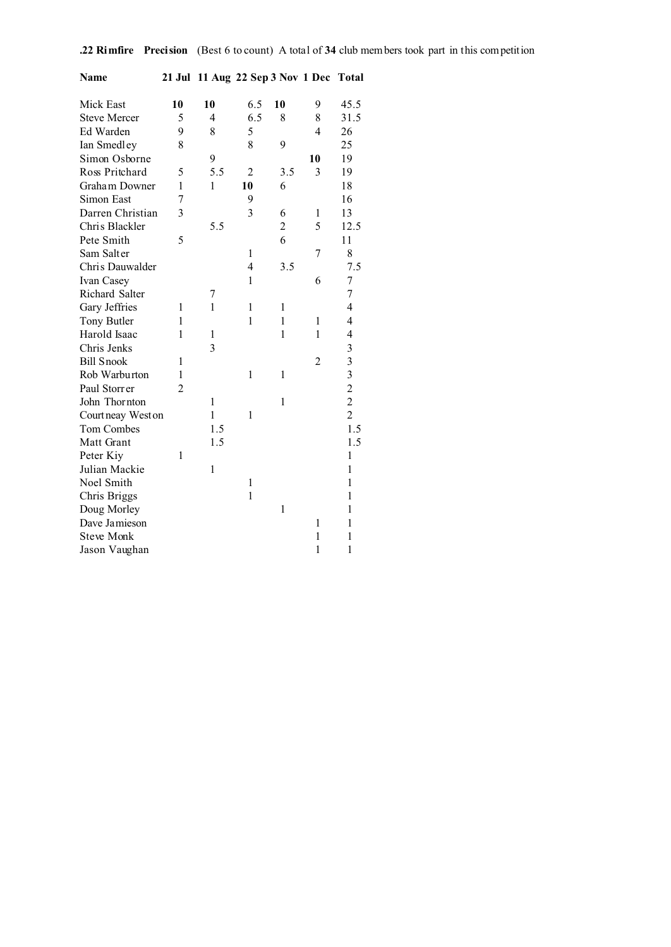| Name                |                | 21 Jul 11 Aug 22 Sep 3 Nov 1 Dec Total |                |                |                |                          |
|---------------------|----------------|----------------------------------------|----------------|----------------|----------------|--------------------------|
| Mick East           | 10             | 10                                     | 6.5            | 10             | 9              | 45.5                     |
| <b>Steve Mercer</b> | 5              | $\overline{4}$                         | 6.5            | 8              | 8              | 31.5                     |
| Ed Warden           | 9              | 8                                      | 5              |                | $\overline{4}$ | 26                       |
| Ian Smedley         | 8              |                                        | 8              | 9              |                | 25                       |
| Simon Osborne       |                | 9                                      |                |                | 10             | 19                       |
| Ross Pritchard      | 5              | 5.5                                    | $\overline{2}$ | 3.5            | 3              | 19                       |
| Graham Downer       | 1              | 1                                      | 10             | 6              |                | 18                       |
| Simon East          | 7              |                                        | 9              |                |                | 16                       |
| Darren Christian    | 3              |                                        | $\overline{3}$ | 6              | 1              | 13                       |
| Chris Blackler      |                | 5.5                                    |                | $\overline{2}$ | 5              | 12.5                     |
| Pete Smith          | 5              |                                        |                | 6              |                | 11                       |
| Sam Salter          |                |                                        | 1              |                | 7              | 8                        |
| Chris Dauwalder     |                |                                        | 4              | 3.5            |                | 7.5                      |
| Ivan Casey          |                |                                        | $\mathbf{1}$   |                | 6              | $\overline{7}$           |
| Richard Salter      |                | 7                                      |                |                |                | $\overline{7}$           |
| Gary Jeffries       | 1              | 1                                      | 1              | 1              |                | $\overline{\mathcal{A}}$ |
| Tony Butler         | 1              |                                        | 1              | 1              | 1              | $\overline{\mathbf{4}}$  |
| Harold Isaac        | 1              | 1                                      |                | $\mathbf{1}$   | 1              | 4                        |
| Chris Jenks         |                | $\overline{3}$                         |                |                |                | 3                        |
| <b>Bill Snook</b>   | 1              |                                        |                |                | $\overline{c}$ | 3                        |
| Rob Warburton       | 1              |                                        | $\mathbf{1}$   | $\mathbf{1}$   |                | $\overline{\mathbf{3}}$  |
| Paul Storrer        | $\overline{c}$ |                                        |                |                |                | $\overline{c}$           |
| John Thornton       |                | $\mathbf{1}$                           |                | 1              |                | $\overline{c}$           |
| Court neay West on  |                | $\mathbf{1}$                           | 1              |                |                | $\overline{c}$           |
| Tom Combes          |                | 1.5                                    |                |                |                | 1.5                      |
| Matt Grant          |                | 1.5                                    |                |                |                | 1.5                      |
| Peter Kiy           | 1              |                                        |                |                |                | $\mathbf{1}$             |
| Julian Mackie       |                | 1                                      |                |                |                | $\mathbf{1}$             |
| Noel Smith          |                |                                        | 1              |                |                | $\mathbf{1}$             |
| Chris Briggs        |                |                                        | $\mathbf{1}$   |                |                | 1                        |
| Doug Morley         |                |                                        |                | $\mathbf{1}$   |                | $\mathbf{1}$             |
| Dave Jamieson       |                |                                        |                |                | 1              | $\mathbf{1}$             |
| <b>Steve Monk</b>   |                |                                        |                |                | $\mathbf{1}$   | $\mathbf{1}$             |
| Jason Vaughan       |                |                                        |                |                | $\mathbf{1}$   | 1                        |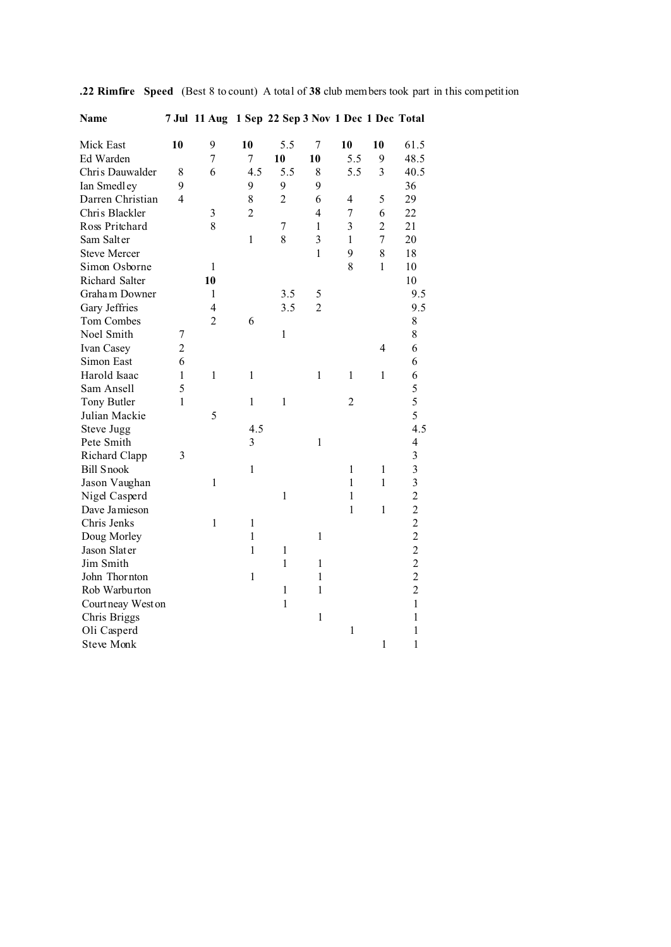**.22 Rimfire Speed** (Best 8 to count)A total of **38** club members took part in this competition

| ın<br>o |
|---------|
|---------|

### **Name 7 Jul 11 Aug 1 Sep 22 Sep 3 Nov 1 Dec 1 Dec Total**

| Mick East           | 10             | 9              | 10             | 5.5            | 7              | 10                      | 10             | 61.5           |
|---------------------|----------------|----------------|----------------|----------------|----------------|-------------------------|----------------|----------------|
| Ed Warden           |                | $\overline{7}$ | 7              | 10             | 10             | 5.5                     | 9              | 48.5           |
| Chris Dauwalder     | 8              | 6              | 4.5            | 5.5            | 8              | 5.5                     | 3              | 40.5           |
| Ian Smedley         | 9              |                | 9              | 9              | 9              |                         |                | 36             |
| Darren Christian    | $\overline{4}$ |                | 8              | $\overline{2}$ | 6              | $\overline{4}$          | 5              | 29             |
| Chris Blackler      |                | 3              | $\overline{c}$ |                | $\overline{4}$ | 7                       | 6              | 22             |
| Ross Pritchard      |                | 8              |                | $\sqrt{ }$     | $\mathbf{1}$   | $\overline{\mathbf{3}}$ | $\overline{2}$ | 21             |
| Sam Salter          |                |                | $\mathbf 1$    | 8              | $\overline{3}$ | $\mathbf{1}$            | $\overline{7}$ | 20             |
| <b>Steve Mercer</b> |                |                |                |                | $\mathbf{1}$   | 9                       | 8              | 18             |
| Simon Osborne       |                | 1              |                |                |                | 8                       | $\mathbf{1}$   | 10             |
| Richard Salter      |                | 10             |                |                |                |                         |                | 10             |
| Graham Downer       |                | $\mathbf{1}$   |                | 3.5            | 5              |                         |                | 9.5            |
| Gary Jeffries       |                | $\overline{4}$ |                | 3.5            | $\overline{c}$ |                         |                | 9.5            |
| Tom Combes          |                | $\overline{2}$ | 6              |                |                |                         |                | $\,$ $\,$      |
| Noel Smith          | 7              |                |                | $\mathbf{1}$   |                |                         |                | 8              |
| Ivan Casey          | $\overline{c}$ |                |                |                |                |                         | $\overline{4}$ | 6              |
| Simon East          | 6              |                |                |                |                |                         |                | 6              |
| Harold Isaac        | $\mathbf{1}$   | $\mathbf{1}$   | $\mathbf{1}$   |                | $\mathbf{1}$   | $\mathbf{1}$            | $\mathbf{1}$   | 6              |
| Sam Ansell          | 5              |                |                |                |                |                         |                | 5              |
| Tony Butler         | $\mathbf{1}$   |                | $\mathbf{1}$   | $\mathbf{1}$   |                | $\overline{2}$          |                | 5              |
| Julian Mackie       |                | 5              |                |                |                |                         |                | 5              |
| Steve Jugg          |                |                | 4.5            |                |                |                         |                | 4.5            |
| Pete Smith          |                |                | 3              |                | $\mathbf{1}$   |                         |                | 4              |
| Richard Clapp       | 3              |                |                |                |                |                         |                | 3              |
| <b>Bill Snook</b>   |                |                | $\mathbf{1}$   |                |                | 1                       | $\mathbf{1}$   | 3              |
| Jason Vaughan       |                | $\mathbf{1}$   |                |                |                | $\mathbf{1}$            | $\mathbf{1}$   | 3              |
| Nigel Casperd       |                |                |                | $\mathbf{1}$   |                | 1                       |                | $\overline{c}$ |
| Dave Jamieson       |                |                |                |                |                | 1                       | $\mathbf{1}$   | $\overline{c}$ |
| Chris Jenks         |                | $\mathbf{1}$   | $\,1$          |                |                |                         |                | $\overline{c}$ |
| Doug Morley         |                |                | $\mathbf{1}$   |                | $\mathbf{1}$   |                         |                | $\overline{c}$ |
| Jason Slater        |                |                | $\mathbf{1}$   | $\,1$          |                |                         |                | $\overline{c}$ |
| Jim Smith           |                |                |                | $\mathbf{1}$   | $\mathbf{1}$   |                         |                | $\overline{c}$ |
| John Thornton       |                |                | $\mathbf{1}$   |                | $\mathbf{1}$   |                         |                | $\overline{c}$ |
| Rob Warburton       |                |                |                | $\mathbf 1$    | $\mathbf 1$    |                         |                | $\overline{c}$ |
| Courtneay West on   |                |                |                | $\mathbf{1}$   |                |                         |                | $\mathbf{1}$   |
| Chris Briggs        |                |                |                |                | $\mathbf{1}$   |                         |                | $\mathbf{1}$   |
| Oli Casperd         |                |                |                |                |                | $\,1$                   |                | $\mathbf{1}$   |
| <b>Steve Monk</b>   |                |                |                |                |                |                         | $\mathbf{1}$   | $\mathbf{1}$   |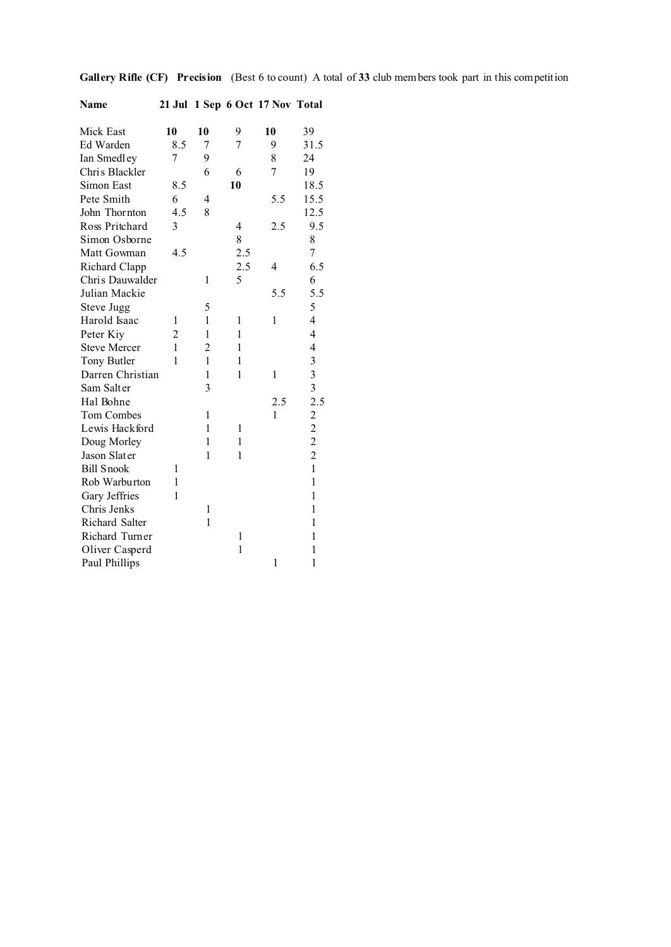| Name                |                |                |              | 21 Jul 1 Sep 6 Oct 17 Nov Total |                          |
|---------------------|----------------|----------------|--------------|---------------------------------|--------------------------|
|                     |                |                |              |                                 |                          |
| Mick East           | 10             | 10             | 9            | 10                              | 39                       |
| Ed Warden           | 8.5            | $\overline{7}$ | 7            | 9                               | 31.5                     |
| Ian Smedley         | 7              | 9              |              | 8                               | 24                       |
| Chris Blackler      |                | 6              | 6            | $\overline{7}$                  | 19                       |
| Simon East          | 8.5            |                | 10           |                                 | 18.5                     |
| Pete Smith          | 6              | 4              |              | 5.5                             | 15.5                     |
| John Thornton       | 4.5            | 8              |              |                                 | 12.5                     |
| Ross Pritchard      | 3              |                | 4            | 2.5                             | 9.5                      |
| Simon Osborne       |                |                | 8            |                                 | 8                        |
| Matt Gowman         | 4.5            |                | 2.5          |                                 | $\overline{7}$           |
| Richard Clapp       |                |                | 2.5          | 4                               | 6.5                      |
| Chris Dauwalder     |                | 1              | 5            |                                 | 6                        |
| Julian Mackie       |                |                |              | 5.5                             | 5.5                      |
| Steve Jugg          |                | 5              |              |                                 | 5                        |
| Harold Isaac        | 1              | 1              | 1            | 1                               | $\overline{4}$           |
| Peter Kiy           | $\overline{2}$ | 1              | 1            |                                 | $\overline{\mathbf{4}}$  |
| <b>Steve Mercer</b> | 1              | $\overline{2}$ | 1            |                                 | $\overline{\mathcal{L}}$ |
| Tony Butler         | 1              | 1              | 1            |                                 | 3                        |
| Darren Christian    |                | 1              | 1            | 1                               | $\overline{\mathbf{3}}$  |
| Sam Salter          |                | 3              |              |                                 |                          |
| Hal Bohne           |                |                |              | 2.5                             | $\frac{3}{2.5}$          |
| Tom Combes          |                | 1              |              | 1                               | $\overline{c}$           |
| Lewis Hackford      |                | 1              | 1            |                                 |                          |
| Doug Morley         |                | 1              | 1            |                                 | $\frac{2}{2}$            |
| Jason Slater        |                | 1              | 1            |                                 | $\overline{c}$           |
| <b>Bill Snook</b>   | 1              |                |              |                                 | $\mathbf{1}$             |
| Rob Warburton       | 1              |                |              |                                 | $\mathbf{1}$             |
| Gary Jeffries       | 1              |                |              |                                 | $\mathbf{1}$             |
| Chris Jenks         |                | 1              |              |                                 | $\mathbf{1}$             |
| Richard Salter      |                | 1              |              |                                 | 1                        |
| Richard Turner      |                |                | 1            |                                 | 1                        |
| Oliver Casperd      |                |                | $\mathbf{1}$ |                                 | 1                        |
| Paul Phillips       |                |                |              | 1                               | 1                        |

**Gallery Rifle (CF) Precision** (Best 6 to count)A total of **33** club members took part in this competition